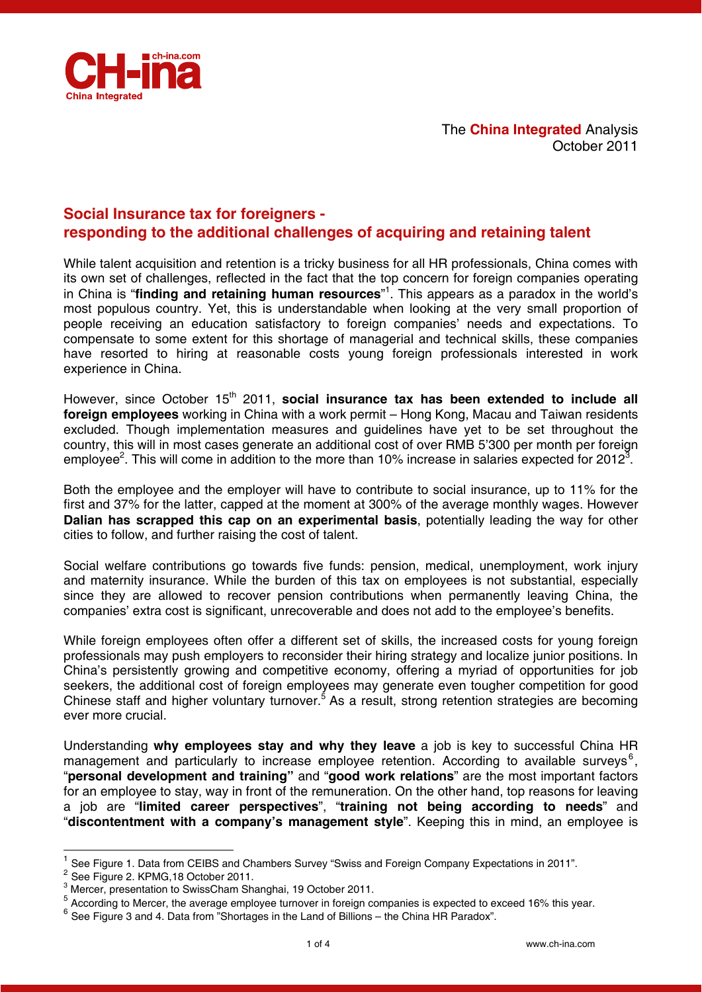

The **China Integrated** Analysis October 2011

# **Social Insurance tax for foreigners responding to the additional challenges of acquiring and retaining talent**

While talent acquisition and retention is a tricky business for all HR professionals, China comes with its own set of challenges, reflected in the fact that the top concern for foreign companies operating in China is "**finding and retaining human resources**" 1 . This appears as a paradox in the world's most populous country. Yet, this is understandable when looking at the very small proportion of people receiving an education satisfactory to foreign companies' needs and expectations. To compensate to some extent for this shortage of managerial and technical skills, these companies have resorted to hiring at reasonable costs young foreign professionals interested in work experience in China.

However, since October 15<sup>th</sup> 2011, **social insurance tax has been extended to include all foreign employees** working in China with a work permit – Hong Kong, Macau and Taiwan residents excluded. Though implementation measures and guidelines have yet to be set throughout the country, this will in most cases generate an additional cost of over RMB 5'300 per month per foreign employee<sup>2</sup>. This will come in addition to the more than 10% increase in salaries expected for 2012<sup>3</sup>.

Both the employee and the employer will have to contribute to social insurance, up to 11% for the first and 37% for the latter, capped at the moment at 300% of the average monthly wages. However **Dalian has scrapped this cap on an experimental basis**, potentially leading the way for other cities to follow, and further raising the cost of talent.

Social welfare contributions go towards five funds: pension, medical, unemployment, work injury and maternity insurance. While the burden of this tax on employees is not substantial, especially since they are allowed to recover pension contributions when permanently leaving China, the companies' extra cost is significant, unrecoverable and does not add to the employee's benefits.

While foreign employees often offer a different set of skills, the increased costs for young foreign professionals may push employers to reconsider their hiring strategy and localize junior positions. In China's persistently growing and competitive economy, offering a myriad of opportunities for job seekers, the additional cost of foreign employees may generate even tougher competition for good Chinese staff and higher voluntary turnover.<sup>5</sup> As a result, strong retention strategies are becoming ever more crucial.

Understanding **why employees stay and why they leave** a job is key to successful China HR management and particularly to increase employee retention. According to available surveys<sup>6</sup>, "**personal development and training"** and "**good work relations**" are the most important factors for an employee to stay, way in front of the remuneration. On the other hand, top reasons for leaving a job are "**limited career perspectives**", "**training not being according to needs**" and "**discontentment with a company's management style**". Keeping this in mind, an employee is

-

<sup>1</sup> See Figure 1. Data from CEIBS and Chambers Survey "Swiss and Foreign Company Expectations in 2011".

 $2^{2}$  See Figure 2. KPMG, 18 October 2011.

<sup>&</sup>lt;sup>3</sup> Mercer, presentation to SwissCham Shanghai, 19 October 2011.

<sup>&</sup>lt;sup>5</sup> According to Mercer, the average employee turnover in foreign companies is expected to exceed 16% this year.

 $6$  See Figure 3 and 4. Data from "Shortages in the Land of Billions – the China HR Paradox".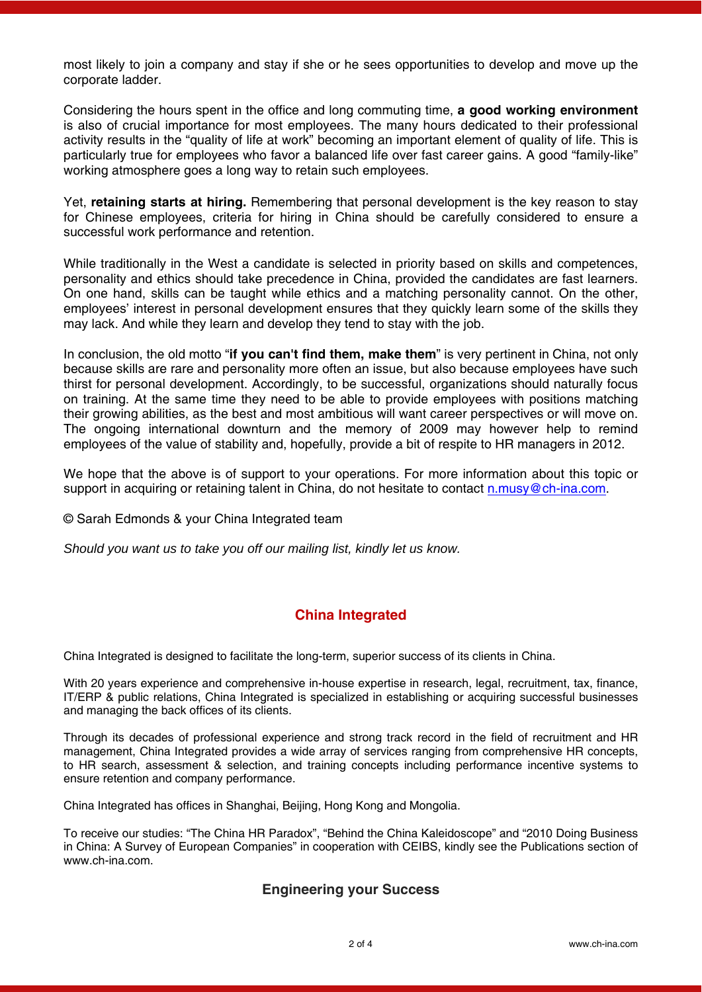most likely to join a company and stay if she or he sees opportunities to develop and move up the corporate ladder.

Considering the hours spent in the office and long commuting time, **a good working environment** is also of crucial importance for most employees. The many hours dedicated to their professional activity results in the "quality of life at work" becoming an important element of quality of life. This is particularly true for employees who favor a balanced life over fast career gains. A good "family-like" working atmosphere goes a long way to retain such employees.

Yet, **retaining starts at hiring.** Remembering that personal development is the key reason to stay for Chinese employees, criteria for hiring in China should be carefully considered to ensure a successful work performance and retention.

While traditionally in the West a candidate is selected in priority based on skills and competences, personality and ethics should take precedence in China, provided the candidates are fast learners. On one hand, skills can be taught while ethics and a matching personality cannot. On the other, employees' interest in personal development ensures that they quickly learn some of the skills they may lack. And while they learn and develop they tend to stay with the job.

In conclusion, the old motto "**if you can't find them, make them**" is very pertinent in China, not only because skills are rare and personality more often an issue, but also because employees have such thirst for personal development. Accordingly, to be successful, organizations should naturally focus on training. At the same time they need to be able to provide employees with positions matching their growing abilities, as the best and most ambitious will want career perspectives or will move on. The ongoing international downturn and the memory of 2009 may however help to remind employees of the value of stability and, hopefully, provide a bit of respite to HR managers in 2012.

We hope that the above is of support to your operations. For more information about this topic or support in acquiring or retaining talent in China, do not hesitate to contact n.musy@ch-ina.com.

© Sarah Edmonds & your China Integrated team

*Should you want us to take you off our mailing list, kindly let us know.*

# **China Integrated**

China Integrated is designed to facilitate the long-term, superior success of its clients in China.

With 20 years experience and comprehensive in-house expertise in research, legal, recruitment, tax, finance, IT/ERP & public relations, China Integrated is specialized in establishing or acquiring successful businesses and managing the back offices of its clients.

Through its decades of professional experience and strong track record in the field of recruitment and HR management, China Integrated provides a wide array of services ranging from comprehensive HR concepts, to HR search, assessment & selection, and training concepts including performance incentive systems to ensure retention and company performance.

China Integrated has offices in Shanghai, Beijing, Hong Kong and Mongolia.

To receive our studies: "The China HR Paradox", "Behind the China Kaleidoscope" and "2010 Doing Business in China: A Survey of European Companies" in cooperation with CEIBS, kindly see the Publications section of www.ch-ina.com.

### **Engineering your Success**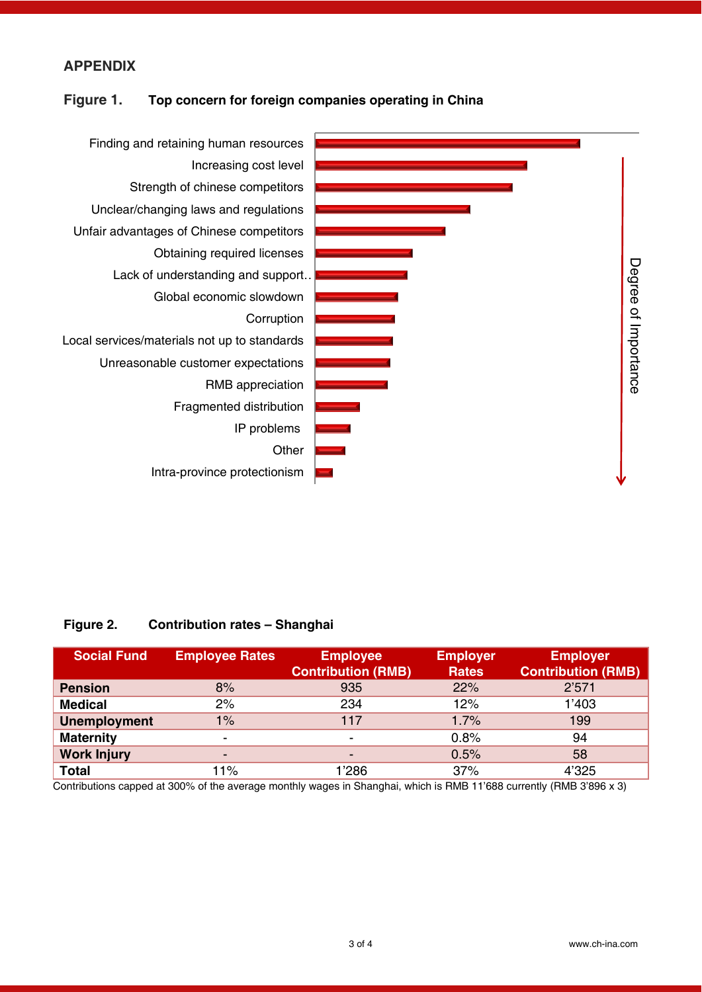## **APPENDIX**

### **Figure 1. Top concern for foreign companies operating in China**



### **Figure 2. Contribution rates – Shanghai**

| <b>Social Fund</b>  | <b>Employee Rates</b> | <b>Employee</b><br><b>Contribution (RMB)</b> | <b>Employer</b><br><b>Rates</b> | <b>Employer</b><br><b>Contribution (RMB)</b> |
|---------------------|-----------------------|----------------------------------------------|---------------------------------|----------------------------------------------|
| <b>Pension</b>      | 8%                    | 935                                          | 22%                             | 2'571                                        |
| <b>Medical</b>      | 2%                    | 234                                          | 12%                             | 1'403                                        |
| <b>Unemployment</b> | 1%                    | 117                                          | 1.7%                            | 199                                          |
| <b>Maternity</b>    | ٠                     | $\overline{\phantom{0}}$                     | 0.8%                            | 94                                           |
| <b>Work Injury</b>  | -                     | $\blacksquare$                               | 0.5%                            | 58                                           |
| <b>Total</b>        | 11%                   | 1'286                                        | 37%                             | 4'325                                        |

Contributions capped at 300% of the average monthly wages in Shanghai, which is RMB 11'688 currently (RMB 3'896 x 3)